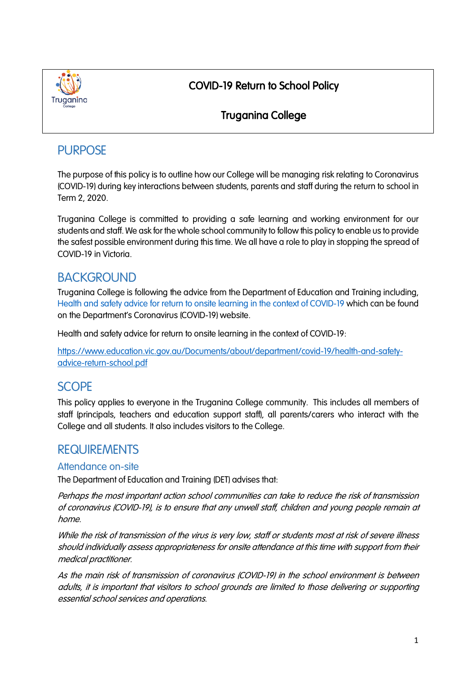

## COVID-19 Return to School Policy

## Truganina College

# **PURPOSE**

The purpose of this policy is to outline how our College will be managing risk relating to Coronavirus (COVID-19) during key interactions between students, parents and staff during the return to school in Term 2, 2020.

Truganina College is committed to providing a safe learning and working environment for our students and staff. We ask for the whole school community to follow this policy to enable us to provide the safest possible environment during this time. We all have a role to play in stopping the spread of COVID-19 in Victoria.

# **BACKGROUND**

Truganina College is following the advice from the Department of Education and Training including, Health and safety advice for return to onsite learning in the context of COVID-19 which can be found on the Department's Coronavirus (COVID-19) website.

Health and safety advice for return to onsite learning in the context of COVID-19:

https://www.education.vic.gov.au/Documents/about/department/covid-19/health-and-safetyadvice-return-school.pdf

# **SCOPE**

This policy applies to everyone in the Truganina College community. This includes all members of staff (principals, teachers and education support staff), all parents/carers who interact with the College and all students. It also includes visitors to the College.

## **REQUIREMENTS**

### Attendance on-site

The Department of Education and Training (DET) advises that:

Perhaps the most important action school communities can take to reduce the risk of transmission of coronavirus (COVID-19), is to ensure that any unwell staff, children and young people remain at home.

While the risk of transmission of the virus is very low, staff or students most at risk of severe illness should individually assess appropriateness for onsite attendance at this time with support from their medical practitioner.

As the main risk of transmission of coronavirus (COVID-19) in the school environment is between adults, it is important that visitors to school grounds are limited to those delivering or supporting essential school services and operations.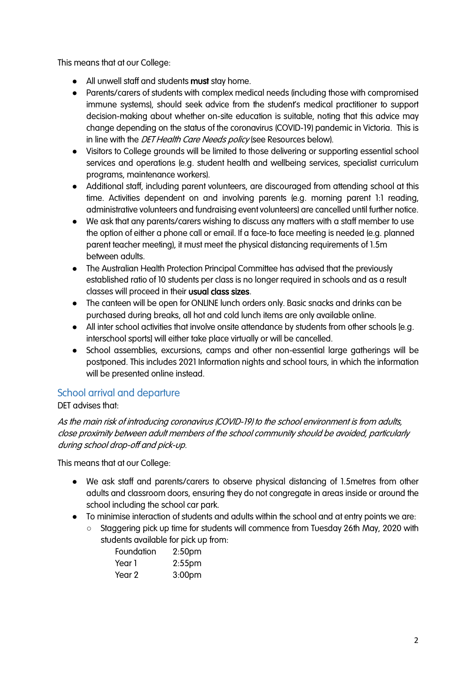This means that at our College:

- All unwell staff and students **must** stay home.
- Parents/carers of students with complex medical needs (including those with compromised immune systems), should seek advice from the student's medical practitioner to support decision-making about whether on-site education is suitable, noting that this advice may change depending on the status of the coronavirus (COVID-19) pandemic in Victoria. This is in line with the DET Health Care Needs policy (see Resources below).
- Visitors to College grounds will be limited to those delivering or supporting essential school services and operations (e.g. student health and wellbeing services, specialist curriculum programs, maintenance workers).
- Additional staff, including parent volunteers, are discouraged from attending school at this time. Activities dependent on and involving parents (e.g. morning parent 1:1 reading, administrative volunteers and fundraising event volunteers) are cancelled until further notice.
- We ask that any parents/carers wishing to discuss any matters with a staff member to use the option of either a phone call or email. If a face-to face meeting is needed (e.g. planned parent teacher meeting), it must meet the physical distancing requirements of 1.5m between adults.
- The Australian Health Protection Principal Committee has advised that the previously established ratio of 10 students per class is no longer required in schools and as a result classes will proceed in their usual class sizes.
- The canteen will be open for ONLINE lunch orders only. Basic snacks and drinks can be purchased during breaks, all hot and cold lunch items are only available online.
- All inter school activities that involve onsite attendance by students from other schools [e.g. interschool sports] will either take place virtually or will be cancelled.
- School assemblies, excursions, camps and other non-essential large gatherings will be postponed. This includes 2021 Information nights and school tours, in which the information will be presented online instead.

## School arrival and departure

### DET advises that:

As the main risk of introducing coronavirus (COVID-19) to the school environment is from adults, close proximity between adult members of the school community should be avoided, particularly during school drop-off and pick-up.

This means that at our College:

- We ask staff and parents/carers to observe physical distancing of 1.5metres from other adults and classroom doors, ensuring they do not congregate in areas inside or around the school including the school car park.
- To minimise interaction of students and adults within the school and at entry points we are:
	- Staggering pick up time for students will commence from Tuesday 26th May, 2020 with students available for pick up from:

| Foundation | 2:50 <sub>pm</sub> |
|------------|--------------------|
| Year 1     | $2:55$ pm          |
| Year 2     | 3:00 <sub>pm</sub> |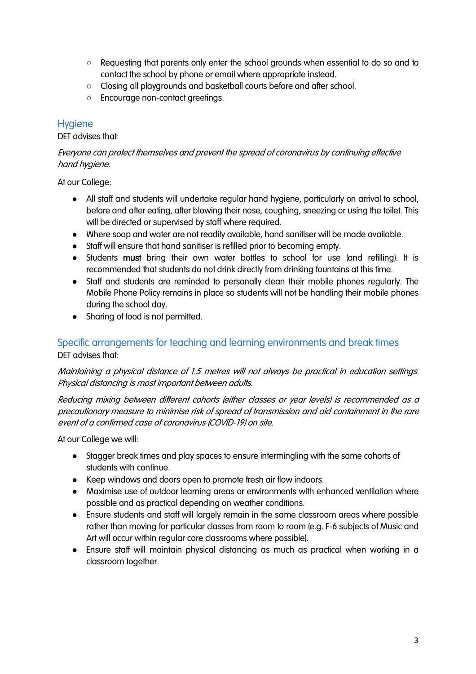- Requesting that parents only enter the school grounds when essential to do so and to contact the school by phone or email where appropriate instead.
- Closing all playgrounds and basketball courts before and after school.
- Encourage non-contact greetings.

#### **Hygiene**

DET advises that:

Everyone can protect themselves and prevent the spread of coronavirus by continuing effective hand hygiene.

At our College:

- All staff and students will undertake regular hand hygiene, particularly on arrival to school, before and after eating, after blowing their nose, coughing, sneezing or using the toilet. This will be directed or supervised by staff where required.
- Where soap and water are not readily available, hand sanitiser will be made available.
- Staff will ensure that hand sanitiser is refilled prior to becoming empty.
- Students must bring their own water bottles to school for use (and refilling). It is recommended that students do not drink directly from drinking fountains at this time.
- Staff and students are reminded to personally clean their mobile phones regularly. The Mobile Phone Policy remains in place so students will not be handling their mobile phones during the school day.
- Sharing of food is not permitted.

### Specific arrangements for teaching and learning environments and break times DET advises that:

Maintaining a physical distance of 1.5 metres will not always be practical in education settings. Physical distancing is most important between adults.

Reducing mixing between different cohorts (either classes or year levels) is recommended as a precautionary measure to minimise risk of spread of transmission and aid containment in the rare event of a confirmed case of coronavirus (COVID-19) on site.

At our College we will:

- Stagger break times and play spaces to ensure intermingling with the same cohorts of students with continue.
- Keep windows and doors open to promote fresh air flow indoors.
- Maximise use of outdoor learning areas or environments with enhanced ventilation where possible and as practical depending on weather conditions.
- Ensure students and staff will largely remain in the same classroom areas where possible rather than moving for particular classes from room to room (e.g. F-6 subjects of Music and Art will occur within regular core classrooms where possible).
- Ensure staff will maintain physical distancing as much as practical when working in a classroom together.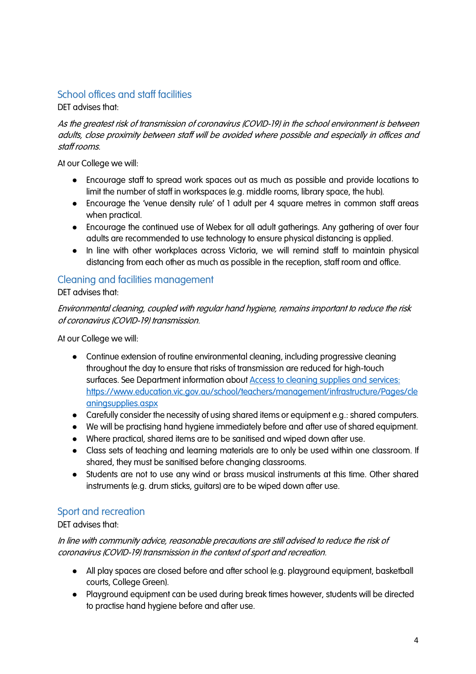## School offices and staff facilities

DET advises that:

#### As the greatest risk of transmission of coronavirus (COVID-19) in the school environment is between adults, close proximity between staff will be avoided where possible and especially in offices and staff rooms.

At our College we will:

- Encourage staff to spread work spaces out as much as possible and provide locations to limit the number of staff in workspaces (e.g. middle rooms, library space, the hub).
- Encourage the 'venue density rule' of 1 adult per 4 square metres in common staff areas when practical.
- Encourage the continued use of Webex for all adult gatherings. Any gathering of over four adults are recommended to use technology to ensure physical distancing is applied.
- In line with other workplaces across Victoria, we will remind staff to maintain physical distancing from each other as much as possible in the reception, staff room and office.

#### Cleaning and facilities management DET advises that:

Environmental cleaning, coupled with regular hand hygiene, remains important to reduce the risk of coronavirus (COVID-19) transmission.

At our College we will:

- Continue extension of routine environmental cleaning, including progressive cleaning throughout the day to ensure that risks of transmission are reduced for high-touch surfaces. See Department information about Access to cleaning supplies and services: https://www.education.vic.gov.au/school/teachers/management/infrastructure/Pages/cle aningsupplies.aspx
- Carefully consider the necessity of using shared items or equipment e.g.: shared computers.
- We will be practising hand hygiene immediately before and after use of shared equipment.
- Where practical, shared items are to be sanitised and wiped down after use.
- Class sets of teaching and learning materials are to only be used within one classroom. If shared, they must be sanitised before changing classrooms.
- Students are not to use any wind or brass musical instruments at this time. Other shared instruments (e.g. drum sticks, guitars) are to be wiped down after use.

## Sport and recreation

#### DET advises that:

In line with community advice, reasonable precautions are still advised to reduce the risk of coronavirus (COVID-19) transmission in the context of sport and recreation.

- All play spaces are closed before and after school (e.g. playground equipment, basketball courts, College Green).
- Playground equipment can be used during break times however, students will be directed to practise hand hygiene before and after use.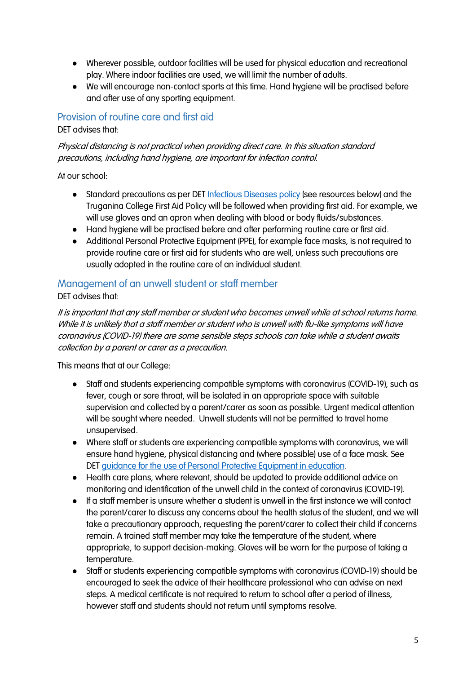- Wherever possible, outdoor facilities will be used for physical education and recreational play. Where indoor facilities are used, we will limit the number of adults.
- We will encourage non-contact sports at this time. Hand hygiene will be practised before and after use of any sporting equipment.

### Provision of routine care and first aid

DET advises that:

Physical distancing is not practical when providing direct care. In this situation standard precautions, including hand hygiene, are important for infection control.

At our school:

- Standard precautions as per DET Infectious Diseases policy (see resources below) and the Truganina College First Aid Policy will be followed when providing first aid. For example, we will use gloves and an apron when dealing with blood or body fluids/substances.
- Hand hygiene will be practised before and after performing routine care or first aid.
- Additional Personal Protective Equipment (PPE), for example face masks, is not required to provide routine care or first aid for students who are well, unless such precautions are usually adopted in the routine care of an individual student.

### Management of an unwell student or staff member

DET advises that:

It is important that any staff member or student who becomes unwell while at school returns home. While it is unlikely that a staff member or student who is unwell with flu-like symptoms will have coronavirus (COVID-19) there are some sensible steps schools can take while a student awaits collection by a parent or carer as a precaution.

This means that at our College:

- Staff and students experiencing compatible symptoms with coronavirus (COVID-19), such as fever, cough or sore throat, will be isolated in an appropriate space with suitable supervision and collected by a parent/carer as soon as possible. Urgent medical attention will be sought where needed. Unwell students will not be permitted to travel home unsupervised.
- Where staff or students are experiencing compatible symptoms with coronavirus, we will ensure hand hygiene, physical distancing and (where possible) use of a face mask. See DET guidance for the use of Personal Protective Equipment in education.
- Health care plans, where relevant, should be updated to provide additional advice on monitoring and identification of the unwell child in the context of coronavirus (COVID-19).
- If a staff member is unsure whether a student is unwell in the first instance we will contact the parent/carer to discuss any concerns about the health status of the student, and we will take a precautionary approach, requesting the parent/carer to collect their child if concerns remain. A trained staff member may take the temperature of the student, where appropriate, to support decision-making. Gloves will be worn for the purpose of taking a temperature.
- Staff or students experiencing compatible symptoms with coronavirus (COVID-19) should be encouraged to seek the advice of their healthcare professional who can advise on next steps. A medical certificate is not required to return to school after a period of illness, however staff and students should not return until symptoms resolve.